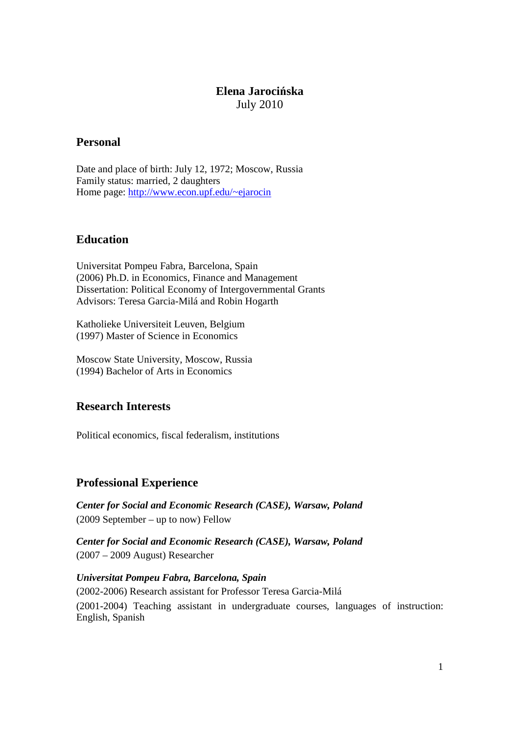# **Elena Jarocińska**  July 2010

# **Personal**

Date and place of birth: July 12, 1972; Moscow, Russia Family status: married, 2 daughters Home page: http://www.econ.upf.edu/~ejarocin

# **Education**

Universitat Pompeu Fabra, Barcelona, Spain (2006) Ph.D. in Economics, Finance and Management Dissertation: Political Economy of Intergovernmental Grants Advisors: Teresa Garcia-Milá and Robin Hogarth

Katholieke Universiteit Leuven, Belgium (1997) Master of Science in Economics

Moscow State University, Moscow, Russia (1994) Bachelor of Arts in Economics

### **Research Interests**

Political economics, fiscal federalism, institutions

### **Professional Experience**

*Center for Social and Economic Research (CASE), Warsaw, Poland*  (2009 September – up to now) Fellow

*Center for Social and Economic Research (CASE), Warsaw, Poland*  (2007 – 2009 August) Researcher

*Universitat Pompeu Fabra, Barcelona, Spain*  (2002-2006) Research assistant for Professor Teresa Garcia-Milá (2001-2004) Teaching assistant in undergraduate courses, languages of instruction: English, Spanish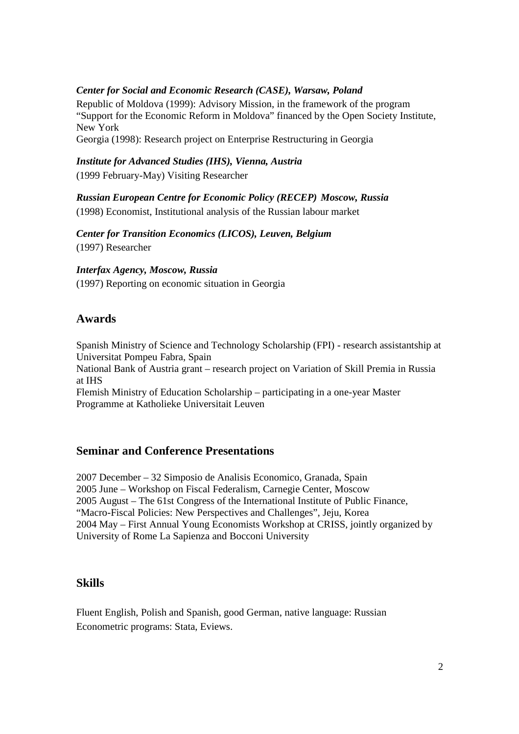### *Center for Social and Economic Research (CASE), Warsaw, Poland*

Republic of Moldova (1999): Advisory Mission, in the framework of the program "Support for the Economic Reform in Moldova" financed by the Open Society Institute, New York

Georgia (1998): Research project on Enterprise Restructuring in Georgia

#### *Institute for Advanced Studies (IHS), Vienna, Austria*

(1999 February-May) Visiting Researcher

*Russian European Centre for Economic Policy (RECEP) Moscow, Russia* 

(1998) Economist, Institutional analysis of the Russian labour market

*Center for Transition Economics (LICOS), Leuven, Belgium*  (1997) Researcher

*Interfax Agency, Moscow, Russia*  (1997) Reporting on economic situation in Georgia

# **Awards**

Spanish Ministry of Science and Technology Scholarship (FPI) - research assistantship at Universitat Pompeu Fabra, Spain

National Bank of Austria grant – research project on Variation of Skill Premia in Russia at IHS

Flemish Ministry of Education Scholarship – participating in a one-year Master Programme at Katholieke Universitait Leuven

### **Seminar and Conference Presentations**

2007 December – 32 Simposio de Analisis Economico, Granada, Spain 2005 June – Workshop on Fiscal Federalism, Carnegie Center, Moscow 2005 August – The 61st Congress of the International Institute of Public Finance, "Macro-Fiscal Policies: New Perspectives and Challenges", Jeju, Korea 2004 May – First Annual Young Economists Workshop at CRISS, jointly organized by University of Rome La Sapienza and Bocconi University

### **Skills**

Fluent English, Polish and Spanish, good German, native language: Russian Econometric programs: Stata, Eviews.